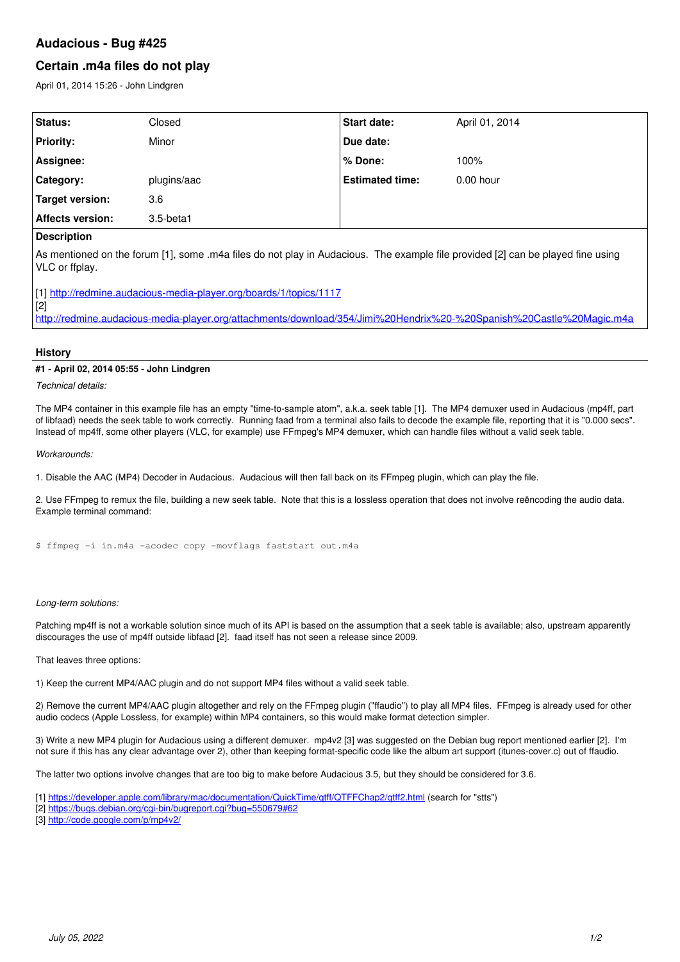## **Audacious - Bug #425**

# **Certain .m4a files do not play**

April 01, 2014 15:26 - John Lindgren

| Status:                 | Closed       | <b>Start date:</b>     | April 01, 2014 |
|-------------------------|--------------|------------------------|----------------|
| <b>Priority:</b>        | Minor        | Due date:              |                |
| Assignee:               |              | % Done:                | 100%           |
| Category:               | plugins/aac  | <b>Estimated time:</b> | $0.00$ hour    |
|                         | 3.6          |                        |                |
| <b>Affects version:</b> | $3.5$ -beta1 |                        |                |
| Target version:         |              |                        |                |

### **Description**

As mentioned on the forum [1], some .m4a files do not play in Audacious. The example file provided [2] can be played fine using VLC or ffplay.

[2] <http://redmine.audacious-media-player.org/attachments/download/354/Jimi%20Hendrix%20-%20Spanish%20Castle%20Magic.m4a>

### **History**

#### **#1 - April 02, 2014 05:55 - John Lindgren**

*Technical details:*

The MP4 container in this example file has an empty "time-to-sample atom", a.k.a. seek table [1]. The MP4 demuxer used in Audacious (mp4ff, part of libfaad) needs the seek table to work correctly. Running faad from a terminal also fails to decode the example file, reporting that it is "0.000 secs". Instead of mp4ff, some other players (VLC, for example) use FFmpeg's MP4 demuxer, which can handle files without a valid seek table.

*Workarounds:*

1. Disable the AAC (MP4) Decoder in Audacious. Audacious will then fall back on its FFmpeg plugin, which can play the file.

2. Use FFmpeg to remux the file, building a new seek table. Note that this is a lossless operation that does not involve reëncoding the audio data. Example terminal command:

\$ ffmpeg -i in.m4a -acodec copy -movflags faststart out.m4a

[1] <http://redmine.audacious-media-player.org/boards/1/topics/1117>

*Long-term solutions:*

Patching mp4ff is not a workable solution since much of its API is based on the assumption that a seek table is available; also, upstream apparently discourages the use of mp4ff outside libfaad [2]. faad itself has not seen a release since 2009.

That leaves three options:

1) Keep the current MP4/AAC plugin and do not support MP4 files without a valid seek table.

2) Remove the current MP4/AAC plugin altogether and rely on the FFmpeg plugin ("ffaudio") to play all MP4 files. FFmpeg is already used for other audio codecs (Apple Lossless, for example) within MP4 containers, so this would make format detection simpler.

3) Write a new MP4 plugin for Audacious using a different demuxer. mp4v2 [3] was suggested on the Debian bug report mentioned earlier [2]. I'm not sure if this has any clear advantage over 2), other than keeping format-specific code like the album art support (itunes-cover.c) out of ffaudio.

The latter two options involve changes that are too big to make before Audacious 3.5, but they should be considered for 3.6.

[1]<https://developer.apple.com/library/mac/documentation/QuickTime/qtff/QTFFChap2/qtff2.html> (search for "stts")

[2]<https://bugs.debian.org/cgi-bin/bugreport.cgi?bug=550679#62>

[3]<http://code.google.com/p/mp4v2/>